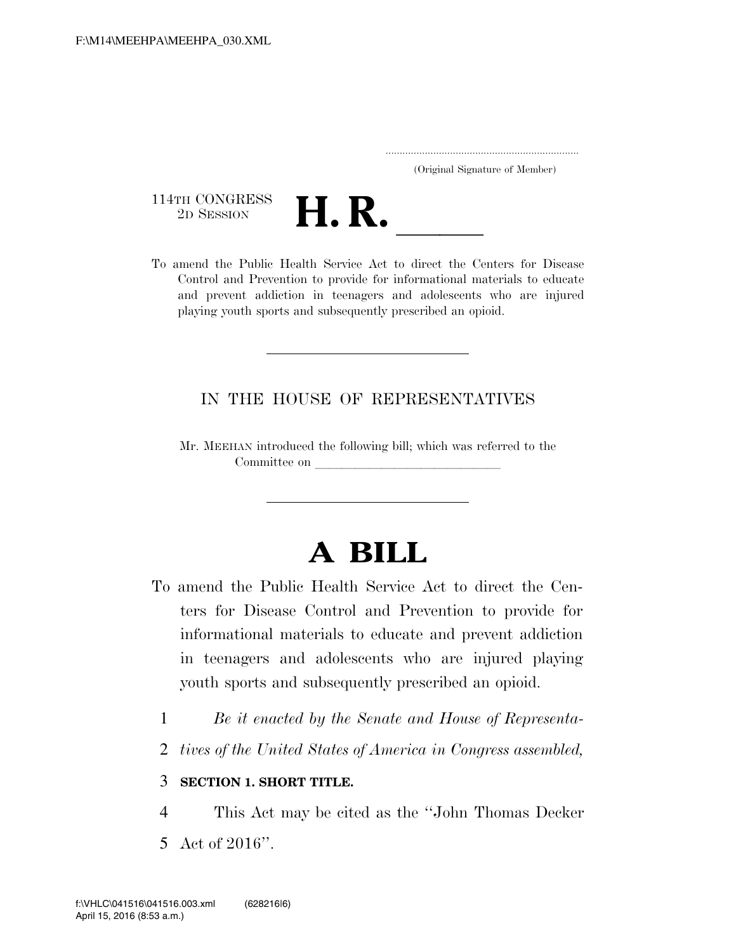..................................................................... (Original Signature of Member)

114TH CONGRESS<br>2D SESSION



114TH CONGRESS<br>
2D SESSION<br>
To amend the Public Health Service Act to direct the Centers for Disease Control and Prevention to provide for informational materials to educate and prevent addiction in teenagers and adolescents who are injured playing youth sports and subsequently prescribed an opioid.

#### IN THE HOUSE OF REPRESENTATIVES

Mr. MEEHAN introduced the following bill; which was referred to the Committee on leading on  $\mathcal{L}$ 

# **A BILL**

- To amend the Public Health Service Act to direct the Centers for Disease Control and Prevention to provide for informational materials to educate and prevent addiction in teenagers and adolescents who are injured playing youth sports and subsequently prescribed an opioid.
	- 1 *Be it enacted by the Senate and House of Representa-*
	- 2 *tives of the United States of America in Congress assembled,*

#### 3 **SECTION 1. SHORT TITLE.**

- 4 This Act may be cited as the ''John Thomas Decker
- 5 Act of 2016''.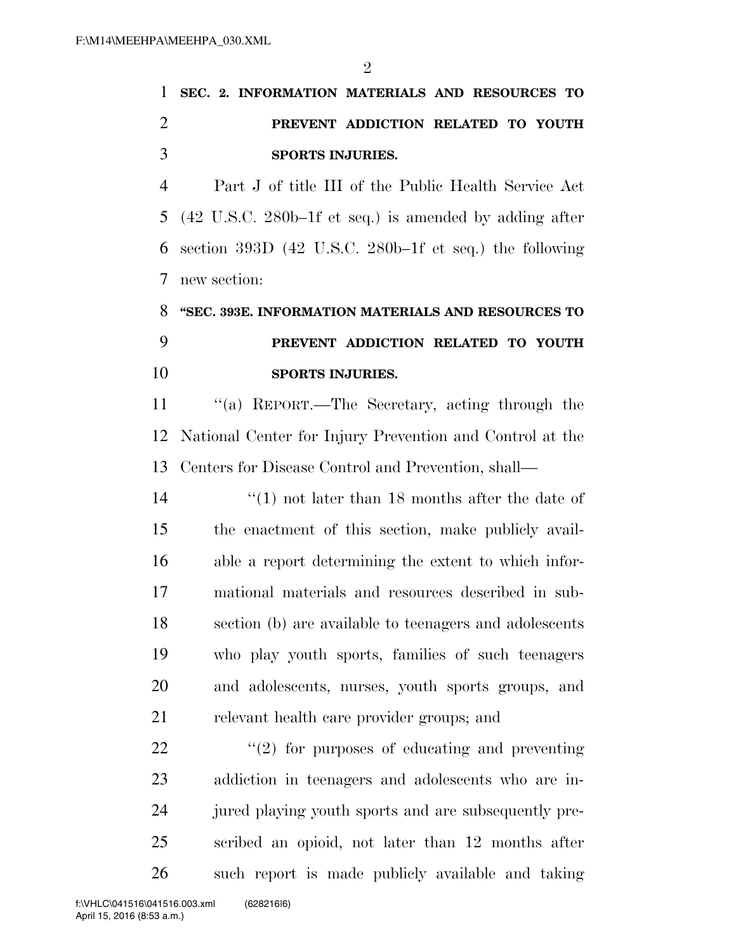$\mathfrak{D}$ 

## **SEC. 2. INFORMATION MATERIALS AND RESOURCES TO PREVENT ADDICTION RELATED TO YOUTH SPORTS INJURIES.**

 Part J of title III of the Public Health Service Act (42 U.S.C. 280b–1f et seq.) is amended by adding after section 393D (42 U.S.C. 280b–1f et seq.) the following new section:

### **''SEC. 393E. INFORMATION MATERIALS AND RESOURCES TO PREVENT ADDICTION RELATED TO YOUTH SPORTS INJURIES.**

 ''(a) REPORT.—The Secretary, acting through the National Center for Injury Prevention and Control at the Centers for Disease Control and Prevention, shall—

14 ''(1) not later than 18 months after the date of the enactment of this section, make publicly avail- able a report determining the extent to which infor- mational materials and resources described in sub- section (b) are available to teenagers and adolescents who play youth sports, families of such teenagers and adolescents, nurses, youth sports groups, and relevant health care provider groups; and

 $\frac{u(2)}{2}$  for purposes of educating and preventing addiction in teenagers and adolescents who are in- jured playing youth sports and are subsequently pre- scribed an opioid, not later than 12 months after such report is made publicly available and taking